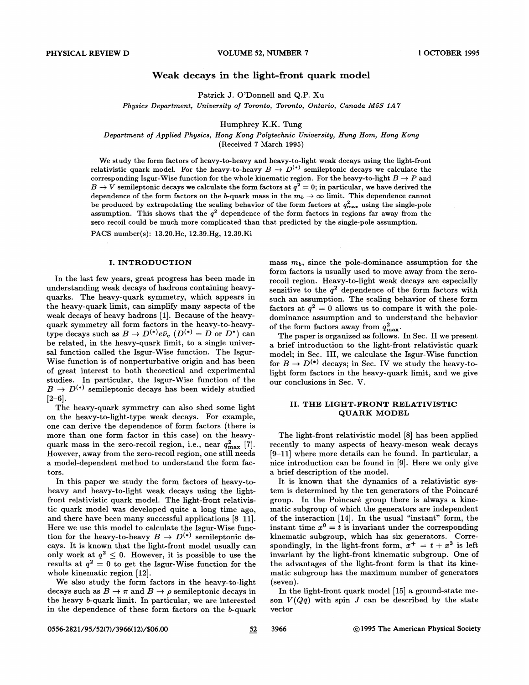# Weak decays in the light-front quark model

Patrick J. O'Donnell and Q.P. Xu

Physics Department, University of Toronto, Toronto, Ontario, Canada MSS 1A7

Humphrey K.K. Tung

Department of Applied Physics, Hong Kong Polytechnic University, Hung Hom, Hong Kong

(Received 7 March 1995)

We study the form factors of heavy-to-heavy and heavy-to-light weak decays using the light-front 'We study the form factors of heavy-to-heavy and heavy-to-healty weak decays using the light-front relativistic quark model. For the heavy-to-heavy  $B \to D^{(*)}$  semileptonic decays we calculate the corresponding Isgur-Wise function for the whole kinematic region. For the heavy-to-light  $B \to P$  and  $B\to V$  semileptonic decays we calculate the form factors at  $q^2=0$ ; in particular, we have derived the dependence of the form factors on the b-quark mass in the  $m_b \to \infty$  limit. This dependence cannot be produced by extrapolating the scaling behavior of the form factors at  $q_{\text{max}}^2$  using the single-pole assumption. This shows that the  $q^2$  dependence of the form factors in regions far away from the zero recoil could be much more complicated than that predicted by the single-pole assumption.

PACS number(s): 13.20.He, 12.39.Hg, 12.39.Ki

#### I. INTRODUCTION

In the last few years, great progress has been made in understanding weak decays of hadrons containing heavyquarks. The heavy-quark symmetry, which appears in the heavy-quark limit, can simplify many aspects of the weak decays of heavy hadrons [1]. Because of the heavyquark symmetry all form factors in the heavy-to-heavytype decays such as  $B \to D^{(*)}e\bar{\nu}_e$   $(D^{(*)} = D$  or  $D^*)$  can be related, in the heavy-quark limit, to a single universal function called the Isgur-Wise function. The Isgur-Wise function is of nonperturbative origin and has been of great interest to both theoretical and experimental studies. In particular, the Isgur-Wise function of the  $B \to D^{(*)}$  semileptonic decays has been widely studied  $[2-6]$ .

The heavy-quark symmetry can also shed some light on the heavy-to-light-type weak decays. For example, one can derive the dependence of form factors (there is more than one form factor in this case) on the heavyquark mass in the zero-recoil region, i.e., near  $q_{\text{max}}^2$  [7]. However, away from the zero-recoil region, one still needs a model-dependent method to understand the form factors.

In this paper we study the form factors of heavy-toheavy and heavy-to-light weak decays using the light front relativistic quark model. The light-front relativistic quark model was developed quite a long time ago, and there have been many successful applications [8—11]. Here we use this model to calculate the Isgur-Wise function for the heavy-to-heavy  $B \to D^{(*)}$  semileptonic decays. It is known that the light-front model usually can only work at  $q^2 \leq 0$ . However, it is possible to use the results at  $q^2 = 0$  to get the Isgur-Wise function for the whole kinematic region [12].

We also study the form factors in the heavy-to-light decays such as  $B \to \pi$  and  $B \to \rho$  semileptonic decays in the heavy b-quark limit. In particular, we are interested in the dependence of these form factors on the b-quark mass  $m_b$ , since the pole-dominance assumption for the form factors is usually used to move away from the zerorecoil region. Heavy-to-light weak decays are especially sensitive to the  $q^2$  dependence of the form factors with such an assumption. The scaling behavior of these form factors at  $q^2 = 0$  allows us to compare it with the poledominance assumption and to understand the behavior of the form factors away from  $q_{\text{max}}^2$ .

The paper is organized as follows. In Sec. II we present a brief introduction to the light-front relativistic quark model; in Sec. III, we calculate the Isgur-Wise function for  $B \to D^{(*)}$  decays; in Sec. IV we study the heavy-tolight form factors in the heavy-quark limit, and we give our conclusions in Sec. V.

### II. THE LIGHT-FRONT RELATIVISTIC QUARK MODEL

The light-front relativistic model [8] has been applied recently to many aspects of heavy-meson weak decays [9—11] where more details can be found. In particular, a nice introduction can be found in [9]. Here we only give a brief description of the model.

It is known that the dynamics of a relativistic system is determined by the ten generators of the Poincaré group. In the Poincaré group there is always a kinematic subgroup of which the generators are independent of the interaction [14]. In the usual "instant" form, the instant time  $x^0 = t$  is invariant under the corresponding kinematic subgroup, which has six generators. Correspondingly, in the light-front form,  $x^+ = t + x^3$  is left invariant by the light-front kinematic subgroup. One of the advantages of the light-front form is that its kinematic subgroup has the maximum number of generators  $(\text{seven}).$ 

In the light-front quark model [15] a ground-state meson  $V(Q\bar{q})$  with spin J can be described by the state vector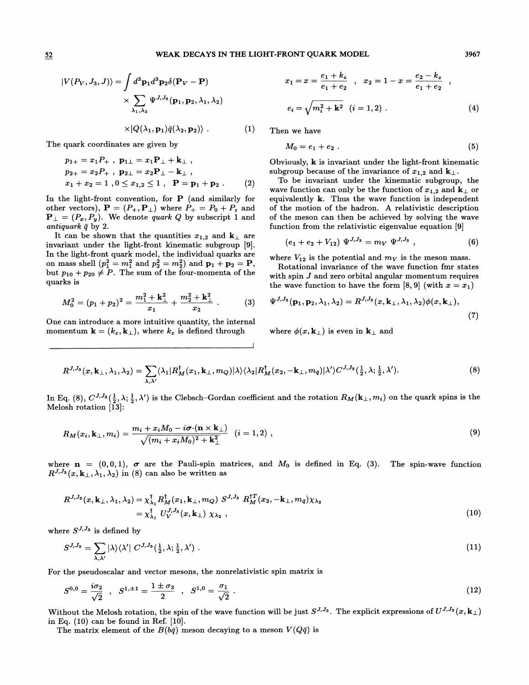### 52 WEAK DECAYS IN THE LIGHT-FRONT QUARK MODEL 3967

$$
|V(P_V, J_3, J)\rangle = \int d^3 \mathbf{p}_1 d^3 \mathbf{p}_2 \delta(\mathbf{P}_V - \mathbf{P})
$$

$$
\times \sum_{\lambda_1, \lambda_2} \Psi^{J, J_3}(\mathbf{p}_1, \mathbf{p}_2, \lambda_1, \lambda_2)
$$

 $\times |Q(\lambda_1, \mathbf{p}_1)\bar{q}(\lambda_2, \mathbf{p}_2)\rangle$  . (1) Then we have

The quark coordinates are given by

$$
p_{1+} = x_1 P_+, p_{1\perp} = x_1 P_{\perp} + k_{\perp} ,p_{2+} = x_2 P_+, p_{2\perp} = x_2 P_{\perp} - k_{\perp} ,x_1 + x_2 = 1, 0 \le x_{1,2} \le 1, P = p_1 + p_2 .
$$
 (2)

In the light-front convention, for  $P$  (and similarly for other vectors),  $\mathbf{P} = (P_+, \mathbf{P}_\perp)$  where  $P_+ = P_0 + P_z$  and  ${\bf P}_{\perp}=(P_x, P_y)$ . We denote *quark Q* by subscript 1 and antiquark  $\bar{q}$  by 2.

It can be shown that the quantities  $x_{1,2}$  and  $k_{\perp}$  are invariant under the light-front kinematic subgroup [9]. In the light-front quark model, the individual quarks are on mass shell  $(p_1^2 = m_1^2 \text{ and } p_2^2 = m_2^2)$  and  $\mathbf{p}_1 + \mathbf{p}_2 = \mathbf{P}$ , but  $p_{10} + p_{20} \neq P$ . The sum of the four-momenta of the quarks is

$$
M_0^2 = (p_1 + p_2)^2 = \frac{m_1^2 + k_\perp^2}{x_1} + \frac{m_2^2 + k_\perp^2}{x_2} \ . \tag{3}
$$

One can introduce a more intuitive quantity, the internal momentum  $\mathbf{k} = (k_z, \mathbf{k}_{\perp})$ , where  $k_z$  is defined through where  $\phi(x, \mathbf{k}_{\perp})$  is even in  $\mathbf{k}_{\perp}$  and

$$
x_1 = x = \frac{e_1 + k_z}{e_1 + e_2} , \quad x_2 = 1 - x = \frac{e_2 - k_z}{e_1 + e_2} ,
$$
  

$$
e_i = \sqrt{m_i^2 + k^2} (i = 1, 2) .
$$
 (4)

$$
M_0=e_1+e_2\ .
$$
 (5)

Obviously,  $k$  is invariant under the light-front kinematic subgroup because of the invariance of  $x_{1,2}$  and  $\mathbf{k}_{\perp}$ .

To be invariant under the kinematic subgroup, the wave function can only be the function of  $x_{1,2}$  and  $\mathbf{k}_{\perp}$  or equivalently  $k$ . Thus the wave function is independent of the motion of the hadron. A relativistic description of the meson can then be achieved by solving the wave function from the relativistic eigenvalue equation [9]

$$
(e_1 + e_2 + V_{12}) \Psi^{J, J_3} = m_V \Psi^{J, J_3} , \qquad (6)
$$

where  $V_{12}$  is the potential and  $m_V$  is the meson mass.

Rotational invariance of the wave function fmr states with spin  $J$  and zero orbital angular momentum requires the wave function to have the form [8, 9] (with  $x = x_1$ )

$$
\Psi^{J,J_3}(\mathbf{p}_1,\mathbf{p}_2,\lambda_1,\lambda_2) = R^{J,J_3}(x,\mathbf{k}_\perp,\lambda_1,\lambda_2)\phi(x,\mathbf{k}_\perp),
$$
\n(7)

$$
R^{J,J_3}(x,\mathbf{k}_{\perp},\lambda_1,\lambda_2) = \sum_{\lambda,\lambda'} \langle \lambda_1 | R_M^{\dagger}(x_1,\mathbf{k}_{\perp},m_Q) | \lambda \rangle \langle \lambda_2 | R_M^{\dagger}(x_2,-\mathbf{k}_{\perp},m_{\bar{q}}) | \lambda' \rangle C^{J,J_3}(\frac{1}{2},\lambda;\frac{1}{2},\lambda'). \tag{8}
$$

In Eq. (8),  $C^{J,J_3}(\frac{1}{2},\lambda;\frac{1}{2},\lambda')$  is the Clebsch-Gordan coefficient and the rotation  $R_M(\mathbf{k}_\perp,m_i)$  on the quark spins is the Melosh rotation  $\overline{13}$ :

$$
R_M(x_i, \mathbf{k}_{\perp}, m_i) = \frac{m_i + x_i M_0 - i \boldsymbol{\sigma} \cdot (\mathbf{n} \times \mathbf{k}_{\perp})}{\sqrt{(m_i + x_i M_0)^2 + \mathbf{k}_{\perp}^2}} \quad (i = 1, 2) \tag{9}
$$

where  $n = (0, 0, 1)$ ,  $\sigma$  are the Pauli-spin matrices, and  $M_0$  is defined in Eq. (3). The spin-wave function  $R^{J,J_3}(x,{\bf k}_{\perp},\lambda_1,\lambda_2)$  in (8) can also be written as

$$
R^{J,J_3}(x, \mathbf{k}_{\perp}, \lambda_1, \lambda_2) = \chi^{\dagger}_{\lambda_1} R^{\dagger}_{M}(x_1, \mathbf{k}_{\perp}, m_Q) S^{J,J_3} R^{+T}_{M}(x_2, -\mathbf{k}_{\perp}, m_{\bar{q}}) \chi_{\lambda_2} = \chi^{\dagger}_{\lambda_1} U^{J,J_3}_{V}(x, \mathbf{k}_{\perp}) \chi_{\lambda_2} ,
$$
\n(10)

where  $S^{J, J_3}$  is defined by

$$
S^{J,J_3} = \sum_{\lambda,\lambda'} |\lambda\rangle\langle\lambda'| C^{J,J_3}(\tfrac{1}{2},\lambda;\tfrac{1}{2},\lambda') . \tag{11}
$$

For the pseudoscalar and vector mesons, the nonrelativistic spin matrix is

$$
S^{0,0} = \frac{i\sigma_2}{\sqrt{2}} \quad , \quad S^{1,\pm 1} = \frac{1 \pm \sigma_3}{2} \quad , \quad S^{1,0} = \frac{\sigma_1}{\sqrt{2}} \quad . \tag{12}
$$

Without the Melosh rotation, the spin of the wave function will be just  $S^{J,J_3}.$  The explicit expressions of  $U^{J,J_3}(x,{\bf k}_\perp)$ in Eq. (10) can be found in Ref. [10].

The matrix element of the  $B(b\bar{q})$  meson decaying to a meson  $V(Q\bar{q})$  is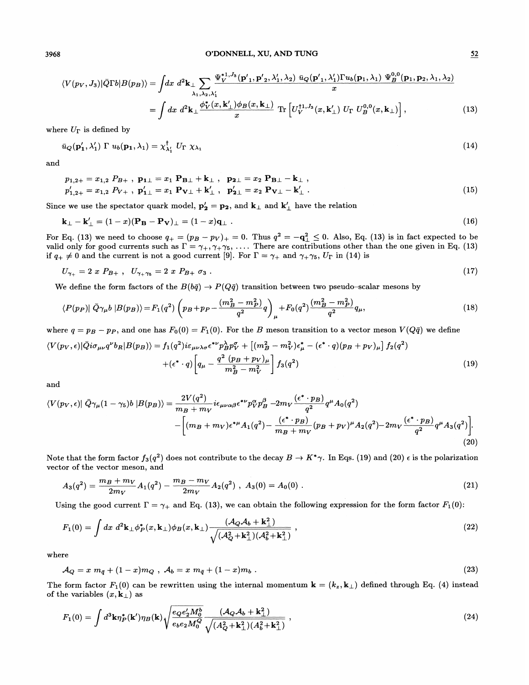3968 O'DONNELL, XU, AND TUNG

$$
\langle V(p_V, J_3) | \bar{Q} \Gamma b | B(p_B) \rangle = \int dx \ d^2 \mathbf{k}_\perp \sum_{\lambda_1, \lambda_2, \lambda'_1} \frac{\Psi_V^{*1, J_3}(\mathbf{p'}_1, \mathbf{p'}_2, \lambda'_1, \lambda_2) \bar{u}_Q(\mathbf{p'}_1, \lambda'_1) \Gamma u_b(\mathbf{p}_1, \lambda_1) \ \Psi_B^{0,0}(\mathbf{p}_1, \mathbf{p}_2, \lambda_1, \lambda_2)}{x}
$$
  
= 
$$
\int dx \ d^2 \mathbf{k}_\perp \frac{\phi_V^*(x, \mathbf{k}'_\perp) \phi_B(x, \mathbf{k}_\perp)}{x} \ \text{Tr} \left[ U_V^{11, J_3}(x, \mathbf{k}'_\perp) \ U_\Gamma \ U_B^{0,0}(x, \mathbf{k}_\perp) \right], \tag{13}
$$

where  $U_{\Gamma}$  is defined by

$$
\bar{u}_Q(\mathbf{p'_1}, \lambda'_1) \Gamma u_b(\mathbf{p_1}, \lambda_1) = \chi^{\dagger}_{\lambda'_1} U_{\Gamma} \chi_{\lambda_1}
$$
\n(14)

and

$$
p_{1,2+} = x_{1,2} P_{B+} , p_{1\perp} = x_1 P_{B\perp} + k_{\perp} , p_{2\perp} = x_2 P_{B\perp} - k_{\perp} ,
$$
  
\n
$$
p'_{1,2+} = x_{1,2} P_{V+} , p'_{1\perp} = x_1 P_{V\perp} + k'_{\perp} , p'_{2\perp} = x_2 P_{V\perp} - k'_{\perp} .
$$
\n(15)

Since we use the spectator quark model,  $p'_2 = p_2$ , and  $k_\perp$  and  $k'_\perp$  have the relation

$$
\mathbf{k}_{\perp} - \mathbf{k}'_{\perp} = (1-x)(\mathbf{P_B} - \mathbf{P_V})_{\perp} = (1-x)\mathbf{q}_{\perp} . \qquad (16)
$$

For Eq. (13) we need to choose  $q_+ = (p_B - p_V)_+ = 0$ . Thus  $q^2 = -q_\perp^2 \leq 0$ . Also, Eq. (13) is in fact expected to be valid only for good currents such as  $\Gamma = \gamma_+, \gamma_+ \gamma_5, \ldots$ . There are contributions other than the one given in Eq. (13) if  $q_+ \neq 0$  and the current is not a good current [9]. For  $\Gamma = \gamma_+$  and  $\gamma_+ \gamma_5$ ,  $U_{\Gamma}$  in (14) is

$$
U_{\gamma_+} = 2 \; x \; P_{B+} \; , \; U_{\gamma_+\gamma_5} = 2 \; x \; P_{B+} \; \sigma_3 \; . \tag{17}
$$

We define the form factors of the  $B(b\bar{q}) \to P(Q\bar{q})$  transition between two pseudo-scalar mesons by

$$
\langle P(p_P) | \bar{Q}\gamma_\mu b | B(p_B) \rangle = F_1(q^2) \left( p_B + p_P - \frac{(m_B^2 - m_P^2)}{q^2} q \right)_{\mu} + F_0(q^2) \frac{(m_B^2 - m_P^2)}{q^2} q_{\mu},\tag{18}
$$

where  $q = p_B - p_P$ , and one has  $F_0(0) = F_1(0)$ . For the B meson transition to a vector meson  $V(Q\bar{q})$  we define

$$
\langle V(p_V, \epsilon) | \bar{Q} i \sigma_{\mu\nu} q^{\nu} b_R | B(p_B) \rangle = f_1(q^2) i \epsilon_{\mu\nu\lambda\sigma} \epsilon^{*\nu} p_B^{\lambda} p_V^{\sigma} + \left[ (m_B^2 - m_V^2) \epsilon_{\mu}^* - (\epsilon^* \cdot q) (p_B + p_V)_{\mu} \right] f_2(q^2) + (\epsilon^* \cdot q) \left[ q_{\mu} - \frac{q^2 (p_B + p_V)_{\mu}}{m_B^2 - m_V^2} \right] f_3(q^2)
$$
(19)

and

and  
\n
$$
\langle V(p_V, \epsilon) | \bar{Q}\gamma_\mu (1-\gamma_5) b | B(p_B) \rangle = \frac{2V(q^2)}{m_B + m_V} i\epsilon_{\mu\nu\alpha\beta} \epsilon^{*\nu} p_V^\alpha p_B^\beta - 2m_V \frac{(\epsilon^* \cdot p_B)}{q^2} q^\mu A_0(q^2)
$$
\n
$$
- \left[ (m_B + m_V) \epsilon^{*\mu} A_1(q^2) - \frac{(\epsilon^* \cdot p_B)}{m_B + m_V} (p_B + p_V)^\mu A_2(q^2) - 2m_V \frac{(\epsilon^* \cdot p_B)}{q^2} q^\mu A_3(q^2) \right].
$$
\n(20)

Note that the form factor  $f_3(q^2)$  does not contribute to the decay  $B\to K^*\gamma.$  In Eqs. (19) and (20)  $\epsilon$  is the polarization vector of the vector meson, and

$$
A_3(q^2) = \frac{m_B + m_V}{2m_V} A_1(q^2) - \frac{m_B - m_V}{2m_V} A_2(q^2) , A_3(0) = A_0(0) .
$$
 (21)

Using the good current  $\Gamma = \gamma_+$  and Eq. (13), we can obtain the following expression for the form factor  $F_1(0)$ :

$$
F_1(0) = \int dx \ d^2 \mathbf{k}_{\perp} \phi_P^*(x, \mathbf{k}_{\perp}) \phi_B(x, \mathbf{k}_{\perp}) \frac{(\mathcal{A}_Q \mathcal{A}_b + \mathbf{k}_{\perp}^2)}{\sqrt{(\mathcal{A}_Q^2 + \mathbf{k}_{\perp}^2)(\mathcal{A}_b^2 + \mathbf{k}_{\perp}^2)}} ,
$$
\n(22)

where

$$
\mathcal{A}_Q = x \; m_{\bar{q}} + (1-x)m_Q \; , \; \mathcal{A}_b = x \; m_{\bar{q}} + (1-x)m_b \; . \tag{23}
$$

The form factor  $F_1(0)$  can be rewritten using the internal momentum  $\mathbf{k} = (k_z, k_{\perp})$  defined through Eq. (4) instead of the variables  $(x, \mathbf{k}_{\perp})$  as

$$
F_1(0) = \int d^3 \mathbf{k} \eta_P^*(\mathbf{k}') \eta_B(\mathbf{k}) \sqrt{\frac{e_Q e'_2 M_0^b}{e_b e_2 M_0^Q}} \frac{(A_Q A_b + \mathbf{k}_{\perp}^2)}{\sqrt{(A_Q^2 + \mathbf{k}_{\perp}^2)(A_b^2 + \mathbf{k}_{\perp}^2)}},
$$
\n(24)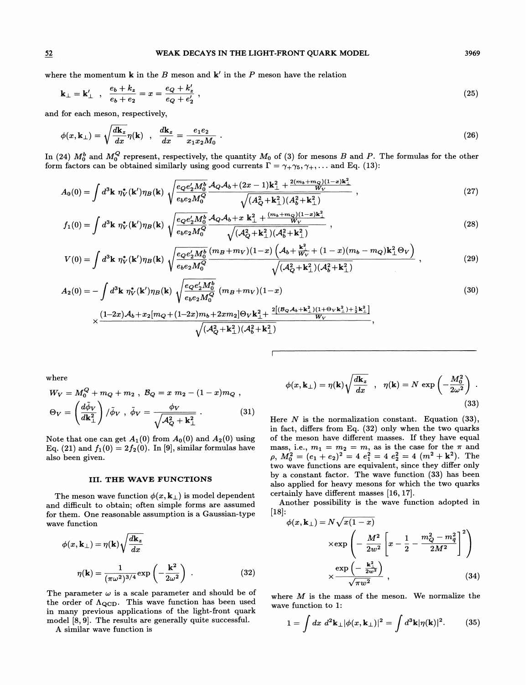### S2 WEAK DECAYS IN THE LIGHT-FRONT QUARK MODEL 3969

where the momentum **k** in the B meson and **k**' in the P meson have the relation

$$
\mathbf{k}_{\perp} = \mathbf{k}'_{\perp} , \quad \frac{e_b + k_z}{e_b + e_2} = x = \frac{e_Q + k'_z}{e_Q + e'_2} , \tag{25}
$$

and for each meson, respectively,

$$
\phi(x, \mathbf{k}_{\perp}) = \sqrt{\frac{d\mathbf{k}_{z}}{dx}} \eta(\mathbf{k}) \quad , \quad \frac{d\mathbf{k}_{z}}{dx} = \frac{e_{1}e_{2}}{x_{1}x_{2}M_{0}} \tag{26}
$$

In (24)  $M_0^b$  and  $M_0^Q$  represent, respectively, the quantity  $M_0$  of (3) for mesons  $B$  and  $P.$  The formulas for the other form factors can be obtained similarly using good currents  $\Gamma = \gamma_+ \gamma_5, \gamma_+$ ,... and Eq. (13):

$$
A_0(0) = \int d^3 \mathbf{k} \ \eta_V^*(\mathbf{k}') \eta_B(\mathbf{k}) \ \sqrt{\frac{e_Q e'_2 M_0^b}{e_b e_2 M_0^Q}} \frac{\mathcal{A}_Q \mathcal{A}_b + (2x - 1)\mathbf{k}_\perp^2 + \frac{2(m_b + m_Q)(1 - x)\mathbf{k}_\perp^2}{W_V}}{\sqrt{(A_Q^2 + \mathbf{k}_\perp^2)(A_b^2 + \mathbf{k}_\perp^2)}} \ , \tag{27}
$$

$$
f_1(0) = \int d^3 \mathbf{k} \ \eta_V^*(\mathbf{k}') \eta_B(\mathbf{k}) \ \sqrt{\frac{e_Q e'_2 M_0^b}{e_b e_2 M_0^Q}} \frac{\mathcal{A}_Q \mathcal{A}_b + x \ \mathbf{k}_\perp^2 + \frac{(m_b + m_Q)(1 - x)\mathbf{k}_\perp^2}{W_V}}{\sqrt{(\mathcal{A}_Q^2 + \mathbf{k}_\perp^2)(\mathcal{A}_b^2 + \mathbf{k}_\perp^2)}} \ , \tag{28}
$$

$$
V(0) = \int d^3 \mathbf{k} \ \eta_V^*(\mathbf{k}') \eta_B(\mathbf{k}) \ \sqrt{\frac{e_Q e'_2 M_0^b}{e_b e_2 M_0^Q}} \frac{(m_B + m_V)(1-x) \left(\mathcal{A}_b + \frac{\mathbf{k}_{\perp}^2}{W_V} + (1-x)(m_b - m_Q)\mathbf{k}_{\perp}^2 \Theta_V\right)}{\sqrt{(\mathcal{A}_Q^2 + \mathbf{k}_{\perp}^2)(\mathcal{A}_b^2 + \mathbf{k}_{\perp}^2)}} \ , \tag{29}
$$

$$
A_2(0) = -\int d^3 \mathbf{k} \ \eta_V^*(\mathbf{k}') \eta_B(\mathbf{k}) \ \sqrt{\frac{e_Q e'_2 M_0^b}{e_b e_2 M_0^Q}} \ (m_B + m_V)(1 - x)
$$
\n
$$
(1 - 2x)\mathcal{A}_b + x_2[m_O + (1 - 2x)m_b + 2xm_2] \Theta_V \mathbf{k}_1^2 + \frac{2[(B_Q \mathcal{A}_b + \mathbf{k}_\perp^2)(1 + \Theta_V \mathbf{k}_\perp^2) + \frac{1}{2}\mathbf{k}_\perp^2]}{W}
$$
\n(30)

$$
\times \frac{(1\!-\!2x)\mathcal{A}_b\!+\!x_2[m_Q\!+\!(1\!-\!2x)m_b\!+\!2xm_2]\Theta_V\mathbf{k}_\perp^2\!+\frac{2[(\mathcal{B}_Q\mathcal{A}_b\!+\!\mathbf{k}_\perp^2)(1\!+\!\Theta_V\mathbf{k}_\perp^2)\!+\!\frac{1}{2}\mathbf{k}_\perp^2]}{W_V}}{\sqrt{(\mathcal{A}_Q^2\!+\!\mathbf{k}_\perp^2)(\mathcal{A}_b^2\!+\!\mathbf{k}_\perp^2)}}
$$

where

$$
W_V = M_0^Q + m_Q + m_2 , B_Q = x m_2 - (1 - x) m_Q ,
$$
  
\n
$$
\Theta_V = \left(\frac{d\tilde{\phi}_V}{d\mathbf{k}_\perp^2}\right) / \tilde{\phi}_V , \tilde{\phi}_V = \frac{\phi_V}{\sqrt{A_Q^2 + \mathbf{k}_\perp^2}} .
$$
 (31)

Note that one can get  $A_1(0)$  from  $A_0(0)$  and  $A_2(0)$  using Eq. (21) and  $f_1(0) = 2f_2(0)$ . In [9], similar formulas have also been given.

# III. THE WAVE FUNCTIONS

The meson wave function  $\phi(x, \mathbf{k}_{\perp})$  is model dependent and difficult to obtain; often simple forms are assumed for them. One reasonable assumption is a Gaussian-type wave function

$$
\phi(x, \mathbf{k}_{\perp}) = \eta(\mathbf{k}) \sqrt{\frac{d\mathbf{k}_{z}}{dx}}
$$

$$
\eta(\mathbf{k}) = \frac{1}{(\pi \omega^{2})^{3/4}} \exp\left(-\frac{\mathbf{k}^{2}}{2\omega^{2}}\right) .
$$
(32)

The parameter  $\omega$  is a scale parameter and should be of the order of  $\Lambda_{\rm QCD}$ . This wave function has been used in many previous applications of the light-front quark model [8, 9]. The results are generally quite successful.

A similar wave function is

$$
\phi(x, \mathbf{k}_{\perp}) = \eta(\mathbf{k}) \sqrt{\frac{d\mathbf{k}_{z}}{dx}} , \quad \eta(\mathbf{k}) = N \exp\left(-\frac{M_0^2}{2\omega^2}\right) . \tag{33}
$$

Here  $N$  is the normalization constant. Equation (33), in fact, differs from Eq. (32) only when the two quarks of the meson have different masses. If they have equal mass, i.e.,  $m_1 = m_2 = m$ , as is the case for the  $\pi$  and  $p_0$ ,  $M_0^2 = (e_1 + e_2)^2 = 4e_1^2 = 4e_2^2 = 4$   $(m^2 + k^2)$ . The wo wave functions are equivalent, since they differ only by a constant factor. The wave function (33) has been also applied for heavy mesons for which the two quarks certainly have different masses  $[16, 17]$ .

Another possibility is the wave function adopted in [IS]:

$$
\phi(x, \mathbf{k}_{\perp}) = N\sqrt{x(1-x)}
$$

$$
\times \exp\left(-\frac{M^2}{2w^2}\left[x - \frac{1}{2} - \frac{m_Q^2 - m_{\tilde{q}}^2}{2M^2}\right]^2\right)
$$

$$
\times \frac{\exp\left(-\frac{\mathbf{k}_{\perp}^2}{2w^2}\right)}{\sqrt{\pi w^2}}, \tag{34}
$$

where  $M$  is the mass of the meson. We normalize the wave function to 1:

$$
1 = \int dx \ d^2 \mathbf{k}_{\perp} |\phi(x, \mathbf{k}_{\perp})|^2 = \int d^3 \mathbf{k} |\eta(\mathbf{k})|^2.
$$
 (35)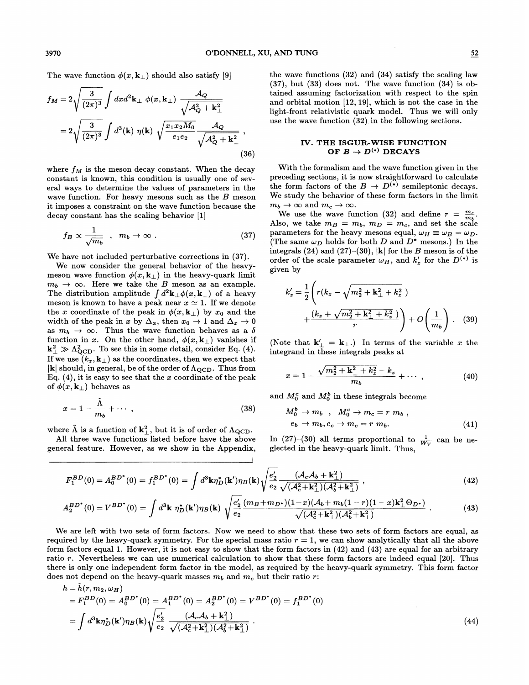The wave function  $\phi(x, \mathbf{k}_{\perp})$  should also satisfy [9]

$$
f_M = 2\sqrt{\frac{3}{(2\pi)^3}} \int dx d^2 \mathbf{k}_{\perp} \phi(x, \mathbf{k}_{\perp}) \frac{\mathcal{A}_Q}{\sqrt{\mathcal{A}_Q^2 + \mathbf{k}_{\perp}^2}}
$$
  
=  $2\sqrt{\frac{3}{(2\pi)^3}} \int d^3(\mathbf{k}) \eta(\mathbf{k}) \sqrt{\frac{x_1 x_2 M_0}{e_1 e_2}} \frac{\mathcal{A}_Q}{\sqrt{\mathcal{A}_Q^2 + \mathbf{k}_{\perp}^2}} ,$  (36)

where  $f_M$  is the meson decay constant. When the decay constant is known, this condition is usually one of several ways to determine the values of parameters in the wave function. For heavy mesons such as the  $B$  meson it imposes a constraint on the wave function because the decay constant has the scaling behavior [1]

$$
f_B \propto \frac{1}{\sqrt{m_b}} \quad , \quad m_b \to \infty \quad . \tag{37}
$$

We have not included perturbative corrections in (37).

We now consider the general behavior of the heavymeson wave function  $\phi(x, \mathbf{k}_{\perp})$  in the heavy-quark limit  $m_b \rightarrow \infty$ . Here we take the B meson as an example. The distribution amplitude  $\int_{A} d^2 \mathbf{k}_{\perp} \phi(x, \mathbf{k}_{\perp})$  of a heavy meson is known to have a peak near  $x \simeq 1$ . If we denote the x coordinate of the peak in  $\phi(x, \mathbf{k}_{\perp})$  by  $x_0$  and the width of the peak in x by  $\Delta_x$ , then  $x_0 \rightarrow 1$  and  $\Delta_x \rightarrow 0$ as  $m_b \to \infty$ . Thus the wave function behaves as a  $\delta$ function in x. On the other hand,  $\phi(x, \mathbf{k}_{\perp})$  vanishes if  $\mathbf{k}_\perp^2 \gg \Lambda_{\text{QCD}}^2$ . To see this in some detail, consider Eq. (4). If we use  $(k_z, k_\perp)$  as the coordinates, then we expect that  $|{\bf k}|$  should, in general, be of the order of  $\Lambda_{\rm QCD}$ . Thus from Eq.  $(4)$ , it is easy to see that the x coordinate of the peak of  $\phi(x, \mathbf{k}_{\perp})$  behaves as

$$
x = 1 - \frac{\Lambda}{m_b} + \cdots , \qquad (38)
$$

where  $\tilde{\Lambda}$  is a function of  $k_{\perp}^2$ , but it is of order of  $\Lambda_{\text{QCD}}$ .

All three wave functions listed before have the above general feature. However, as we show in the Appendix, the wave functions (32) and (34) satisfy the scaling law (37), but (33) does not. The wave function (34) is obtained assuming factorization with respect to the spin and orbital motion [12, 19], which is not the case in the light-front relativistic quark model. Thus we will only use the wave function  $(32)$  in the following sections.

# IV. THE ISGUR-WISE FUNCTION OF  $B \to D^{(*)}$  DECAYS

With the formalism and the wave function given in the preceding sections, it is now straightforward to calculate the form factors of the  $B \to D^{(*)}$  semileptonic decays. We study the behavior of these form factors in the limit  $m_b \to \infty$  and  $m_c \to \infty$ .

We use the wave function (32) and define  $r = \frac{m_c}{m}$ . Also, we take  $m_B = m_b$ ,  $m_D = m_c$ , and set the scale parameters for the heavy mesons equal,  $\omega_H \equiv \omega_B = \omega_D$ . The same  $\omega_D$  holds for both D and  $D^*$  mesons.) In the integrals (24) and (27)–(30),  $|\mathbf{k}|$  for the B meson is of the order of the scale parameter  $\omega_H$ , and  $k'_*$  for the  $D^{(*)}$  is given by

$$
k'_{z} = \frac{1}{2} \left( r(k_{z} - \sqrt{m_{2}^{2} + k_{\perp}^{2} + k_{z}^{2}}) + \frac{(k_{z} + \sqrt{m_{2}^{2} + k_{\perp}^{2} + k_{z}^{2}})}{r} \right) + O\left(\frac{1}{m_{b}}\right). \quad (39)
$$

Note that  $\mathbf{k}'_{\perp} = \mathbf{k}_{\perp}$ . In terms of the variable x the integrand in these integrals peaks at

$$
x = 1 - \frac{\sqrt{m_2^2 + \mathbf{k}_{\perp}^2 + k_z^2} - k_z}{m_b} + \cdots , \qquad (40)
$$

and  $M_0^c$  and  $M_0^b$  in these integrals become

$$
M_0^b \to m_b , \quad M_0^c \to m_c = r m_b ,
$$
  
\n
$$
e_b \to m_b, e_c \to m_c = r m_b.
$$
 (41)

In (27)–(30) all terms proportional to  $\frac{1}{W_V}$  can be neglected in the heavy-quark limit. Thus,

$$
F_1^{BD}(0) = A_0^{BD^*}(0) = f_1^{BD^*}(0) = \int d^3 \mathbf{k} \eta_D^*(\mathbf{k}') \eta_B(\mathbf{k}) \sqrt{\frac{e'_2}{e_2}} \frac{(\mathcal{A}_c \mathcal{A}_b + \mathbf{k}_\perp^2)}{\sqrt{(\mathcal{A}_c^2 + \mathbf{k}_\perp^2)(\mathcal{A}_b^2 + \mathbf{k}_\perp^2)}} ,
$$
\n
$$
A_2^{BD^*}(0) = V^{BD^*}(0) = \int d^3 \mathbf{k} \ \eta_D^*(\mathbf{k}') \eta_B(\mathbf{k}) \sqrt{\frac{e'_2}{e_2}} \frac{(m_B + m_D \cdot)(1 - x)(\mathcal{A}_b + m_b(1 - r)(1 - x)\mathbf{k}_\perp^2 \Theta_{D^*})}{\sqrt{(\mathcal{A}_c^2 + \mathbf{k}_\perp^2)(\mathcal{A}_b^2 + \mathbf{k}_\perp^2)}} .
$$
\n(43)

$$
A_2^{BD^*}(0) = V^{BD^*}(0) = \int d^3\mathbf{k} \; \eta_D^*(\mathbf{k}') \eta_B(\mathbf{k}) \; \sqrt{\frac{e_2'}{e_2} \frac{(m_B + m_{D^*})(1-x)(\mathcal{A}_b + m_b(1-r)(1-x)\mathbf{k}_\perp^2 \Theta_{D^*})}{\sqrt{(\mathcal{A}_c^2 + \mathbf{k}_\perp^2)(\mathcal{A}_b^2 + \mathbf{k}_\perp^2)}} \; . \tag{43}
$$

We are left with two sets of form factors. Now we need to show that these two sets of form factors are equal, as required by the heavy-quark symmetry. For the special mass ratio  $r = 1$ , we can show analytically that all the above form factors equal 1. However, it is not easy to show that the form factors in (42) and (43) are equal for an arbitrary ratio r. Nevertheless we can use numerical calculation to show that these form factors are indeed equal [20]. Thus there is only one independent form factor in the model, as required by the heavy-quark symmetry. This form factor does not depend on the heavy-quark masses  $m_b$  and  $m_c$  but their ratio r:

$$
h = \tilde{h}(r, m_2, \omega_H)
$$
  
=  $F_1^{BD}(0) = A_0^{BD}(0) = A_1^{BD}(0) = A_2^{BD}(0) = V^{BD}(0) = f_1^{BD}(0)$   
=  $\int d^3 \mathbf{k} \eta_D^*(\mathbf{k}') \eta_B(\mathbf{k}) \sqrt{\frac{e_2'}{e_2}} \frac{(\mathcal{A}_c \mathcal{A}_b + \mathbf{k}_\perp^2)}{\sqrt{(\mathcal{A}_c^2 + \mathbf{k}_\perp^2)(\mathcal{A}_b^2 + \mathbf{k}_\perp^2)}}$  (44)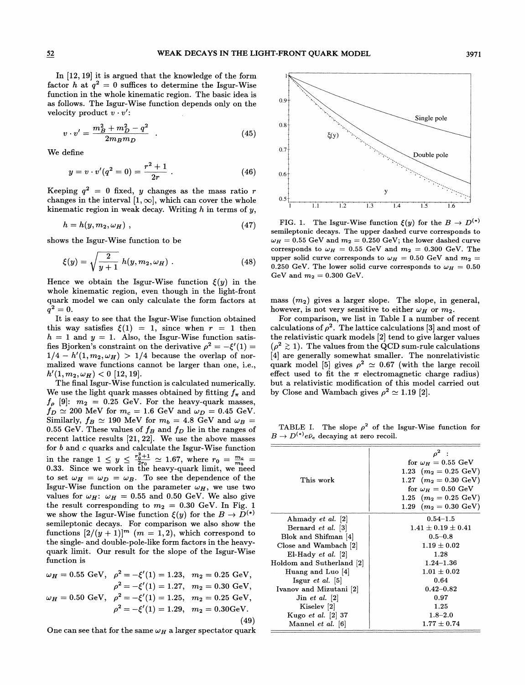In [12, 19] it is argued that the knowledge of the form factor h at  $q^2 = 0$  suffices to determine the Isgur-Wise function in the whole kinematic region. The basic idea is as follows. The Isgur-Wise function depends only on the velocity product  $v \cdot v'$ :

$$
v \cdot v' = \frac{m_B^2 + m_D^2 - q^2}{2m_B m_D} \quad . \tag{45}
$$

We define

$$
y = v \cdot v'(q^2 = 0) = \frac{r^2 + 1}{2r} \ . \tag{46}
$$

Keeping  $q^2 = 0$  fixed, y changes as the mass ratio r changes in the interval  $[1,\infty]$ , which can cover the whole kinematic region in weak decay. Writing  $h$  in terms of  $y$ ,

$$
h = h(y, m_2, \omega_H) , \qquad (47)
$$

shows the Isgur-Wise function to be

$$
\xi(y) = \sqrt{\frac{2}{y+1}} h(y, m_2, \omega_H) . \tag{48}
$$

Hence we obtain the Isgur-Wise function  $\xi(y)$  in the whole kinematic region, even though in the light-front quark model we can only calculate the form factors at  $q^2 = 0.$ 

It is easy to see that the Isgur-Wise function obtained this way satisfies  $\xi(1) = 1$ , since when  $r = 1$  then  $h = 1$  and  $y = 1$ . Also, the Isgur-Wise function satisfies Bjorken's constraint on the derivative  $\rho^2 = -\xi'(1) =$  $1/4 - h'(1, m_2, \omega_H) > 1/4$  because the overlap of normalized wave functions cannot be larger than one, i.e.,  $h'(1, m_2, \omega_H) < 0$  [12, 19].

The final Isgur-Wise function is calculated numerically. We use the light quark masses obtained by fitting  $f_{\pi}$  and  $f_{\rho}$  [9]:  $m_2 = 0.25$  GeV. For the heavy-quark masses,  $f_D \simeq 200$  MeV for  $m_c = 1.6$  GeV and  $\omega_D = 0.45$  GeV. Similarly,  $f_B \simeq 190$  MeV for  $m_b = 4.8$  GeV and  $\omega_B =$ 0.55 GeV. These values of  $f_B$  and  $f_D$  lie in the ranges of recent lattice results [21, 22]. We use the above masses for  $b$  and  $c$  quarks and calculate the Isgur-Wise function for *b* and *c* quarks and calculate the Isgur-Wise function<br>in the range  $1 \le y \le \frac{r_0^2+1}{2r_0} \approx 1.67$ , where  $r_0 = \frac{m_c}{m_b} =$ <br>0.33. Since we work in the heavy-quark limit, we need to set  $\omega_H = \omega_D = \omega_B$ . To see the dependence of the Isgur-Wise function on the parameter  $\omega_H$ , we use two values for  $\omega_H$ :  $\omega_H = 0.55$  and 0.50 GeV. We also give the result corresponding to  $m_2 = 0.30$  GeV. In Fig. 1 we show the Isgur-Wise function  $\xi(y)$  for the  $B \to D^{(*)}$ semileptonic decays. For comparison we also show the functions  $[2/(y + 1)]^m$  (m = 1, 2), which correspond to the single- and double-pole-like form factors in the heavyquark limit. Our result for the slope of the Isgur-Wise function is

$$
\omega_H = 0.55 \text{ GeV}, \quad \rho^2 = -\xi'(1) = 1.23, \quad m_2 = 0.25 \text{ GeV},
$$
  

$$
\rho^2 = -\xi'(1) = 1.27, \quad m_2 = 0.30 \text{ GeV},
$$
  

$$
\omega_H = 0.50 \text{ GeV}, \quad \rho^2 = -\xi'(1) = 1.25, \quad m_2 = 0.25 \text{ GeV},
$$
  

$$
\rho^2 = -\xi'(1) = 1.29, \quad m_2 = 0.30 \text{ GeV}.
$$
  
(49)

One can see that for the same  $\omega_H$  a larger spectator quark



FIG. 1. The Isgur-Wise function  $\xi(y)$  for the  $B \to D^{(*)}$ semileptonic decays. The upper dashed curve corresponds to  $\omega_H = 0.55$  GeV and  $m_2 = 0.250$  GeV; the lower dashed curve corresponds to  $\omega_H = 0.55$  GeV and  $m_2 = 0.300$  GeV. The upper solid curve corresponds to  $\omega_H = 0.50$  GeV and  $m_2 =$ 0.250 GeV. The lower solid curve corresponds to  $\omega_H = 0.50$ GeV and  $m_2 = 0.300$  GeV.

mass  $(m_2)$  gives a larger slope. The slope, in general, however, is not very sensitive to either  $\omega_H$  or  $m_2$ .

For comparison, we list in Table I a number of recent calculations of  $\rho^2$ . The lattice calculations [3] and most of the relativistic quark models [2] tend to give larger values  $(\rho^2 \gtrsim 1)$ . The values from the QCD sum-rule calculations [4] are generally somewhat smaller. The nonrelativistic quark model [5] gives  $\rho^2 \simeq 0.67$  (with the large recoil effect used to fit the  $\pi$  electromagnetic charge radius) but a relativistic modification of this model carried out by Close and Wambach gives  $\rho^2 \simeq 1.19$  [2].

TABLE I. The slope  $\rho^2$  of the Isgur-Wise function for  $B \to D^{(*)}e\bar{\nu}_e$  decaying at zero recoil.

| This work                 | for $\omega_H = 0.55$ GeV<br>1.23 $(m_2 = 0.25 \text{ GeV})$<br>1.27 $(m_2 = 0.30 \text{ GeV})$<br>for $\omega_H = 0.50$ GeV<br>1.25 $(m_2 = 0.25 \text{ GeV})$<br>1.29 $(m_2 = 0.30 \text{ GeV})$ |
|---------------------------|----------------------------------------------------------------------------------------------------------------------------------------------------------------------------------------------------|
|                           |                                                                                                                                                                                                    |
| Ahmady et al. [2]         | $0.54 - 1.5$                                                                                                                                                                                       |
| Bernard <i>et al.</i> [3] | $1.41 \pm 0.19 \pm 0.41$                                                                                                                                                                           |
| Blok and Shifman [4]      | $0.5 - 0.8$                                                                                                                                                                                        |
| Close and Wambach [2]     | $1.19 \pm 0.02$                                                                                                                                                                                    |
| $El-Hady$ et al. $[2]$    | 1.28                                                                                                                                                                                               |
| Holdom and Sutherland [2] | $1.24 - 1.36$                                                                                                                                                                                      |
| Huang and Luo [4]         | $1.01 \pm 0.02$                                                                                                                                                                                    |
| Isgur <i>et al.</i> [5]   | 0.64                                                                                                                                                                                               |
| Ivanov and Mizutani [2]   | $0.42 - 0.82$                                                                                                                                                                                      |
| $\text{Jin}$ et al. $[2]$ | 0.97                                                                                                                                                                                               |
| Kiselev <sup>[2]</sup>    | 1.25                                                                                                                                                                                               |
| Kugo et al. [2] 37        | $1.8 - 2.0$                                                                                                                                                                                        |
| Mannel et al. [6]         | $1.77\pm0.74$                                                                                                                                                                                      |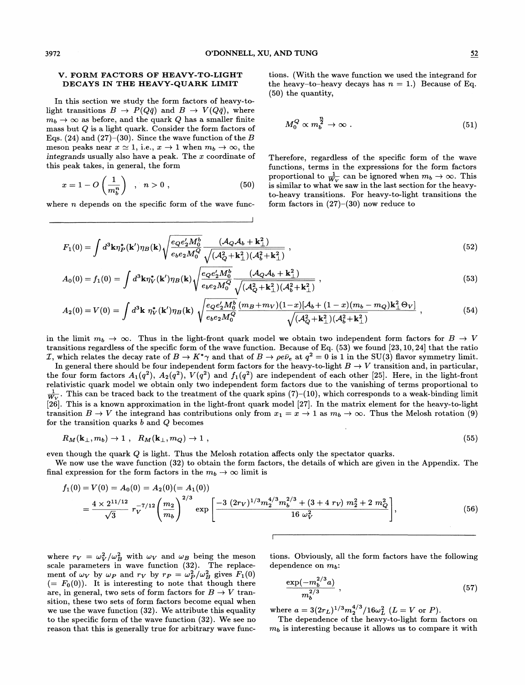### V. FORM FACTORS OF HEAVY-TO-LIGHT DECAYS IN THE HEAVY-QUARK LIMIT

In this section we study the form factors of heavy-tolight transitions  $B \to P(Q\bar{q})$  and  $B \to V(Q\bar{q})$ , where  $m_b \rightarrow \infty$  as before, and the quark Q has a smaller finite mass but Q is a light quark. Consider the form factors of Eqs. (24) and (27)–(30). Since the wave function of the  $B$ meson peaks near  $x \approx 1$ , i.e.,  $x \to 1$  when  $m_b \to \infty$ , the integrands usually also have a peak. The  $x$  coordinate of this peak takes, in general, the form

$$
x = 1 - O\left(\frac{1}{m_b^n}\right) , \quad n > 0 , \qquad (50)
$$

where  $n$  depends on the specific form of the wave func-

tions. (With the wave function we used the integrand for the heavy-to-heavy decays has  $n = 1$ .) Because of Eq. (50) the quantity,

$$
M_0^Q \propto m_b^{\frac{n}{2}} \to \infty \tag{51}
$$

Therefore, regardless of the specific form of the wave functions, terms in the expressions for the form factors proportional to  $\frac{1}{W_V}$  can be ignored when  $m_b \to \infty$ . This is similar to what we saw in the last section for the heavyto-heavy transitions. For heavy-to-light transitions the form factors in  $(27)-(30)$  now reduce to

$$
F_1(0) = \int d^3 \mathbf{k} \eta_P^*(\mathbf{k}') \eta_B(\mathbf{k}) \sqrt{\frac{e_Q e'_2 M_0^b}{e_b e_2 M_0^Q}} \frac{(\mathcal{A}_Q \mathcal{A}_b + \mathbf{k}_{\perp}^2)}{\sqrt{(\mathcal{A}_Q^2 + \mathbf{k}_{\perp}^2)(\mathcal{A}_b^2 + \mathbf{k}_{\perp}^2)}},
$$
\n(52)

$$
A_0(0) = f_1(0) = \int d^3 \mathbf{k} \eta_V^*(\mathbf{k}') \eta_B(\mathbf{k}) \sqrt{\frac{e_Q e'_2 M_0^b}{e_b e_2 M_0^Q}} \frac{(\mathcal{A}_Q \mathcal{A}_b + \mathbf{k}_\perp^2)}{\sqrt{(\mathcal{A}_Q^2 + \mathbf{k}_\perp^2)(\mathcal{A}_b^2 + \mathbf{k}_\perp^2) }} ,
$$
\n(53)

$$
A_2(0) = V(0) = \int d^3 \mathbf{k} \ \eta_V^*(\mathbf{k}') \eta_B(\mathbf{k}) \ \sqrt{\frac{e_Q e'_2 M_0^b}{e_b e_2 M_0^Q}} \frac{(m_B + m_V)(1-x)[\mathcal{A}_b + (1-x)(m_b - m_Q)\mathbf{k}_\perp^2 \Theta_V]}{\sqrt{(\mathcal{A}_Q^2 + \mathbf{k}_\perp^2)(\mathcal{A}_b^2 + \mathbf{k}_\perp^2)}}
$$
\n<sup>(54)</sup>

in the limit  $m_b \to \infty$ . Thus in the light-front quark model we obtain two independent form factors for  $B \to V$ transitions regardless of the specific form of the wave function. Because of Eq. (53) we found [23, 10, 24] that the ratio *T*, which relates the decay rate of  $B \to K^*\gamma$  and that of  $B \to \rho e \bar{\nu}_e$  at  $q^2 = 0$  is 1 in the SU(3) flavor symmetry limit.

In general there should be four independent form factors for the heavy-to-light  $B \to V$  transition and, in particular, the four form factors  $A_1(q^2)$ ,  $A_2(q^2)$ ,  $V(q^2)$  and  $f_1(q^2)$  are independent of each other [25]. Here, in the light-front relativistic quark model we obtain only two independent form factors due to the vanishing of terms proportional to  $\frac{1}{W_{tot}}$ . This can be traced back to the treatment of the quark spins (7)–(10), which corresponds to a weak-binding limit [26]. This is a known approximation in the light-front quark model [27]. In the matrix element for the heavy-to-light transition  $B \to V$  the integrand has contributions only from  $x_1 = x \to 1$  as  $m_b \to \infty$ . Thus the Melosh rotation (9) for the transition quarks  $b$  and  $Q$  becomes

$$
R_M(\mathbf{k}_{\perp}, m_b) \to 1 \; , \; R_M(\mathbf{k}_{\perp}, m_Q) \to 1 \; , \tag{55}
$$

even though the quark Q is light. Thus the Melosh rotation affects only the spectator quarks.

We now use the wave function (32) to obtain the form factors, the details of which are given in the Appendix. The final expression for the form factors in the  $m_b \to \infty$  limit is

$$
f_1(0) = V(0) = A_0(0) = A_2(0) (= A_1(0))
$$
  
=  $\frac{4 \times 2^{11/12}}{\sqrt{3}} r_V^{-7/12} \left( \frac{m_2}{m_b} \right)^{2/3} \exp \left[ \frac{-3 (2r_V)^{1/3} m_2^{4/3} m_b^{2/3} + (3 + 4 r_V) m_2^2 + 2 m_Q^2}{16 \omega_V^2} \right],$  (56)

where  $r_V = \omega_V^2/\omega_B^2$  with  $\omega_V$  and  $\omega_B$  being the meson scale parameters in wave function (32). The replacement of  $\omega_V$  by  $\omega_P$  and  $r_V$  by  $r_P = \omega_P^2/\omega_B^2$  gives  $F_1(0)$  $(= F<sub>0</sub>(0)).$  It is interesting to note that though there are, in general, two sets of form factors for  $B \to V$  transition, these two sets of form factors become equal when we use the wave function (32). We attribute this equality to the specific form of the wave function (32). We see no reason that this is generally true for arbitrary wave functions. Obviously, all the form factors have the following dependence on  $m_b$ :

$$
\frac{\exp(-m_b^{2/3}a)}{m_b^{2/3}}\,,\tag{57}
$$

where  $a = 3(2r_L)^{1/3}m_2^{4/3}/16\omega_L^2$  ( $L = V$  or P).

The dependence of the heavy-to-light form factors on  $m_b$  is interesting because it allows us to compare it with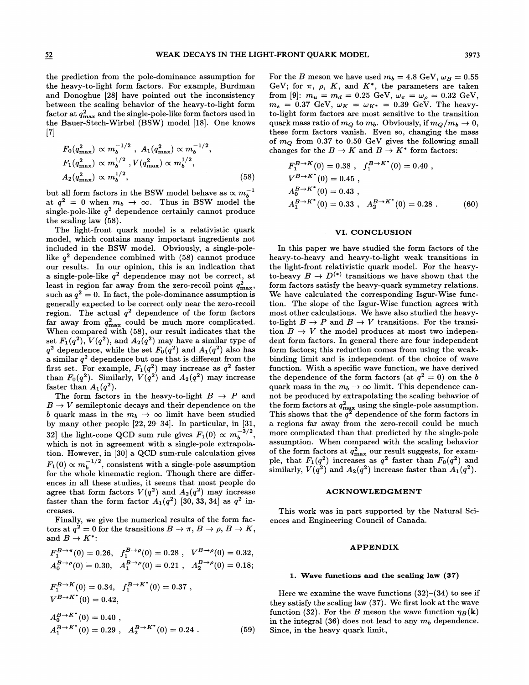the prediction from the pole-dominance assumption for the heavy-to-light form factors. For example, Burdman and Donoghue [28] have pointed out the inconsistency between the scaling behavior of the heavy-to-light form factor at  $q_{\text{max}}^2$  and the single-pole-like form factors used in the Bauer-Stech-Wirbel (BSW) model [18]. One knows  $[7]$ 

$$
F_0(q_{\text{max}}^2) \propto m_b^{-1/2}, \quad A_1(q_{\text{max}}^2) \propto m_b^{-1/2},
$$
  
\n
$$
F_1(q_{\text{max}}^2) \propto m_b^{1/2}, \quad V(q_{\text{max}}^2) \propto m_b^{1/2},
$$
  
\n
$$
A_2(q_{\text{max}}^2) \propto m_b^{1/2}, \quad (58)
$$

but all form factors in the BSW model behave as  $\propto m_b^{-1}$ at  $q^2 = 0$  when  $m_b \to \infty$ . Thus in BSW model the single-pole-like  $q^2$  dependence certainly cannot produce the scaling law (58).

The light-front quark model is a relativistic quark model, which contains many important ingredients not included in the BSW model. Obviously, a single-polelike  $q^2$  dependence combined with (58) cannot produce our results. In our opinion, this is an indication that a single-pole-like  $q^2$  dependence may not be correct, at least in region far away from the zero-recoil point  $q_{\text{max}}^2$ , such as  $q^2 = 0$ . In fact, the pole-dominance assumption is generally expected to be correct only near the zero-recoil region. The actual  $q^2$  dependence of the form factors far away from  $q_{\text{max}}^2$  could be much more complicated. When compared with (58), our result indicates that the set  $F_1(q^2)$ ,  $V(q^2)$ , and  $A_2(q^2)$  may have a similar type of  $q^2$  dependence, while the set  $F_0(q^2)$  and  $A_1(q^2)$  also has a similar  $q^2$  dependence but one that is different from the first set. For example,  $F_1(q^2)$  may increase as  $q^2$  faster than  $F_0(q^2)$ . Similarly,  $V(q^2)$  and  $A_2(q^2)$  may increase faster than  $A_1(q^2)$ .

The form factors in the heavy-to-light  $B \to P$  and  $B \to V$  semileptonic decays and their dependence on the b quark mass in the  $m_b \rightarrow \infty$  limit have been studied by many other people [22, 29—34]. In particular, in [31, 32] the light-cone QCD sum rule gives  $F_1(0) \propto m_b^{-3/2}$ , which is not in agreement with a single-pole extrapolation. However, in [30] a @CD sum-rule calculation gives  $F_1(0) \propto m_b^{-1/2}$ , consistent with a single-pole assumption for the whole kinematic region. Though there are differences in all these studies, it seems that most people do  $\text{agere that form factors} \; V(q^2) \; \text{and} \; A_2(q^2) \; \text{may increase}$ faster than the form factor  $A_1(q^2)$  [30, 33, 34] as  $q^2$  increases.

Finally, we give the numerical results of the form factors at  $q^2 = 0$  for the transitions  $B \to \pi$ ,  $B \to \rho$ ,  $B \to K$ , and  $B \to K^*$ :

$$
F_1^{B \to \pi}(0) = 0.26, \quad f_1^{B \to \rho}(0) = 0.28, \quad V^{B \to \rho}(0) = 0.32,
$$
  
\n
$$
A_0^{B \to \rho}(0) = 0.30, \quad A_1^{B \to \rho}(0) = 0.21, \quad A_2^{B \to \rho}(0) = 0.18;
$$
  
\n
$$
F_1^{B \to K}(0) = 0.34, \quad f_1^{B \to K^*}(0) = 0.37,
$$
  
\n
$$
V^{B \to K^*}(0) = 0.42,
$$
  
\n
$$
A_0^{B \to K^*}(0) = 0.40,
$$

 $A_1^{B \to K^*}(0) = 0.29$ ,  $A_2^{B \to K^*}(0) = 0.24$ . (59)

For the B meson we have used  $m_b = 4.8 \text{ GeV}, \omega_B = 0.55$ GeV; for  $\pi$ ,  $\rho$ ,  $K$ , and  $K^*$ , the parameters are taken from [9]:  $m_u = m_d = 0.25 \text{ GeV}, \ \omega_{\pi} = \omega_{\rho} = 0.32 \text{ GeV},$  $m_s = 0.37 \text{ GeV}, \ \omega_K = \omega_{K^*} = 0.39 \text{ GeV}.$  The heavyto-light form factors are most sensitive to the transition quark mass ratio of  $m_Q$  to  $m_b$ . Obviously, if  $m_Q/m_b \rightarrow 0$ , these form factors vanish. Even so, changing the mass of  $m_Q$  from 0.37 to 0.50 GeV gives the following small changes for the  $B \to K$  and  $B \to K^*$  form factors:

$$
F_1^{B \to K}(0) = 0.38 , f_1^{B \to K^*}(0) = 0.40 ,
$$
  
\n
$$
V^{B \to K^*}(0) = 0.45 ,
$$
  
\n
$$
A_0^{B \to K^*}(0) = 0.43 ,
$$
  
\n
$$
A_1^{B \to K^*}(0) = 0.33 , A_2^{B \to K^*}(0) = 0.28 .
$$
 (60)

### VI. CONCLUSION

In this paper we have studied the form factors of the heavy-to-heavy and heavy-to-light weak transitions in the light-front relativistic quark model. For the heavyto-heavy  $B \to D^{(*)}$  transitions we have shown that the form factors satisfy the heavy-quark symmetry relations. We have calculated the corresponding Isgur-Wise function. The slope of the Isgur-Wise function agrees with most other calculations. We have also studied the heavyto-light  $B \to P$  and  $B \to V$  transitions. For the transition  $B \to V$  the model produces at most two independent form factors. In general there are four independent form factors; this reduction comes from using the weakbinding limit and is independent of the choice of wave function. With a specific wave function, we have derived the dependence of the form factors (at  $q^2 = 0$ ) on the b quark mass in the  $m_b \to \infty$  limit. This dependence cannot be produced by extrapolating the scaling behavior of  $\tau_{\rm th}$  form factors at  $q^2_{\rm max}$  using the single-pole assumption. This shows that the  $q^2$  dependence of the form factors in a regions far away from the zero-recoil could be much more complicated than that predicted by the single-pole assumption. When compared with the scaling behavior of the form factors at  $q_{\rm max}^2$  our result suggests, for examble, that  $F_1(q^2)$  increases as  $q^2$  faster than  $F_0(q^2)$  and similarly,  $V(q^2)$  and  $A_2(q^2)$  increase faster than  $A_1(q^2)$ .

### ACKNOWLEDGMENT

This work was in part supported by the Natural Sciences and Engineering Council of Canada.

# **APPENDIX**

#### 1. Wave functions and the scaling law (37)

Here we examine the wave functions  $(32)$ – $(34)$  to see if they satisfy the scaling law (37). We first look at the wave function (32). For the B meson the wave function  $\eta_B(\mathbf{k})$ in the integral (36) does not lead to any  $m_b$  dependence. Since, in the heavy quark limit,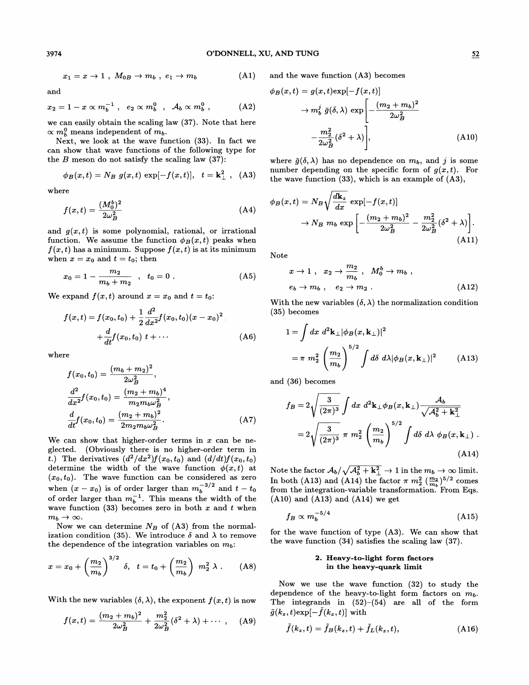$$
x_1 = x \to 1 \ , \ M_{0B} \to m_b \ , \ e_1 \to m_b \tag{A1}
$$

and

$$
x_2 = 1 - x \propto m_b^{-1} , e_2 \propto m_b^0 , \mathcal{A}_b \propto m_b^0 , \qquad (A2)
$$

we can easily obtain the scaling law (37). Note that here  $\propto m_b^0$  means independent of  $m_b$ .

Next, we look at the wave function (33). In fact we can show that wave functions of the following type for the  $B$  meson do not satisfy the scaling law  $(37)$ :

$$
\phi_B(x,t) = N_B g(x,t) \exp[-f(x,t)], t = \mathbf{k}_{\perp}^2
$$
, (A3)

where

$$
f(x,t) = \frac{(M_0^b)^2}{2\omega_B^2}
$$
 (A4)

and  $g(x, t)$  is some polynomial, rational, or irrational function. We assume the function  $\phi_B(x, t)$  peaks when  $f(x, t)$  has a minimum. Suppose  $f(x, t)$  is at its minimum when  $x = x_0$  and  $t = t_0$ ; then

$$
x_0 = 1 - \frac{m_2}{m_b + m_2} \quad , \quad t_0 = 0 \; . \tag{A5}
$$

We expand  $f(x, t)$  around  $x = x_0$  and  $t = t_0$ .

$$
f(x,t) = f(x_0, t_0) + \frac{1}{2} \frac{d^2}{dx^2} f(x_0, t_0) (x - x_0)^2
$$
  
 
$$
+ \frac{d}{dt} f(x_0, t_0) t + \cdots
$$
 (A6)

where

$$
f(x_0, t_0) = \frac{(m_b + m_2)^2}{2\omega_B^2},
$$
  
\n
$$
\frac{d^2}{dx^2} f(x_0, t_0) = \frac{(m_2 + m_b)^4}{m_2 m_b \omega_B^2},
$$
  
\n
$$
\frac{d}{dt} f(x_0, t_0) = \frac{(m_2 + m_b)^2}{2m_2 m_b \omega_B^2}.
$$
\n(A7)

We can show that higher-order terms in  $x$  can be neglected. (Obviously there is no higher-order term in t.) The derivatives  $(d^2/dx^2)f(x_0, t_0)$  and  $(d/dt)f(x_0, t_0)$ determine the width of the wave function  $\phi(x, t)$  at  $(x_0, t_0)$ . The wave function can be considered as zero when  $(x-x_0)$  is of order larger than  $m_b^{-3/2}$  and  $t - t_0$ of order larger than  $m_b^{-1}$ . This means the width of the wave function  $(33)$  becomes zero in both x and t when  $m_b \rightarrow \infty$ .

Now we can determine  $N_B$  of (A3) from the normalization condition (35). We introduce  $\delta$  and  $\lambda$  to remove

the dependence of the integration variables on 
$$
m_b
$$
:  
\n $x = x_0 + \left(\frac{m_2}{m_b}\right)^{3/2} \delta, \quad t = t_0 + \left(\frac{m_2}{m_b}\right) m_2^2 \lambda$ . (A8)

With the new variables  $(\delta, \lambda)$ , the exponent  $f(x, t)$  is now

$$
f(x,t) = \frac{(m_2 + m_b)^2}{2\omega_B^2} + \frac{m_2^2}{2\omega_B^2} (\delta^2 + \lambda) + \cdots , \quad (A9)
$$

 $)$  and the wave function  $(A3)$  becomes

$$
\begin{aligned} \phi_B(x,t) &= g(x,t) \exp[-f(x,t)] \\ &\to m_b^j \bar{g}(\delta,\lambda) \exp\left[-\frac{(m_2+m_b)^2}{2\omega_B^2}\right] \\ &\quad -\frac{m_2^2}{2\omega_B^2}(\delta^2+\lambda)\right], \end{aligned} \tag{A10}
$$

where  $\bar{g}(\delta, \lambda)$  has no dependence on  $m_b$ , and j is some number depending on the specific form of  $g(x, t)$ . For the wave function (33), which is an example of (A3),

$$
\phi_B(x,t) = N_B \sqrt{\frac{d\mathbf{k}_z}{dx}} \exp[-f(x,t)]
$$
  

$$
\rightarrow N_B m_b \exp\left[-\frac{(m_2 + m_b)^2}{2\omega_B^2} - \frac{m_2^2}{2\omega_B^2}(\delta^2 + \lambda)\right].
$$
(A11)

Note

$$
x \to 1 \ , \quad x_2 \to \frac{m_2}{m_b} \ , \quad M_0^b \to m_b \ ,
$$
  
\n
$$
e_b \to m_b \ , \quad e_2 \to m_2 \ .
$$
 (A12)

With the new variables  $(\delta, \lambda)$  the normalization condition (35) becomes

$$
1 = \int dx \ d^2 \mathbf{k}_{\perp} |\phi_B(x, \mathbf{k}_{\perp})|^2
$$
  
=  $\pi m_2^2 \left(\frac{m_2}{m_b}\right)^{5/2} \int d\delta \ d\lambda |\phi_B(x, \mathbf{k}_{\perp})|^2$  (A13)

and (36) becomes

$$
f_B = 2\sqrt{\frac{3}{(2\pi)^3}} \int dx \ d^2\mathbf{k}_\perp \phi_B(x, \mathbf{k}_\perp) \frac{\mathcal{A}_b}{\sqrt{\mathcal{A}_b^2 + \mathbf{k}_\perp^2}}
$$
  
= 
$$
2\sqrt{\frac{3}{(2\pi)^3}} \pi m_2^2 \left(\frac{m_2}{m_b}\right)^{5/2} \int d\delta \ d\lambda \ \phi_B(x, \mathbf{k}_\perp) .
$$
 (A14)

Note the factor  $A_b/\sqrt{A_b^2 + \mathbf{k}_\perp^2} \rightarrow 1$  in the  $m_b \rightarrow \infty$  limit. In both (A13) and (A14) the factor  $\pi m_2^2 \left(\frac{m_2}{m_b}\right)^{5/2}$  comes From the integration-variable transformation. From Eqs. (A10) and (A13) and (A14) we get

$$
f_B \propto m_b^{-5/4} \tag{A15}
$$

for the wave function of type (A3). We can show that the wave function (34) satisfies the scaling law (37).

#### 2. Heavy-to-light form factors in the heavy-quark limit

Now we use the wave function (32) to study the dependence of the heavy-to-light form factors on  $m_b$ . The integrands in  $(52)$ - $(54)$  are all of the form  $\tilde{g}(k_z,t)$ exp $[-f(k_z,t)]$  with

$$
\tilde{f}(k_z,t) = \tilde{f}_B(k_z,t) + \tilde{f}_L(k_z,t),
$$
\n(A16)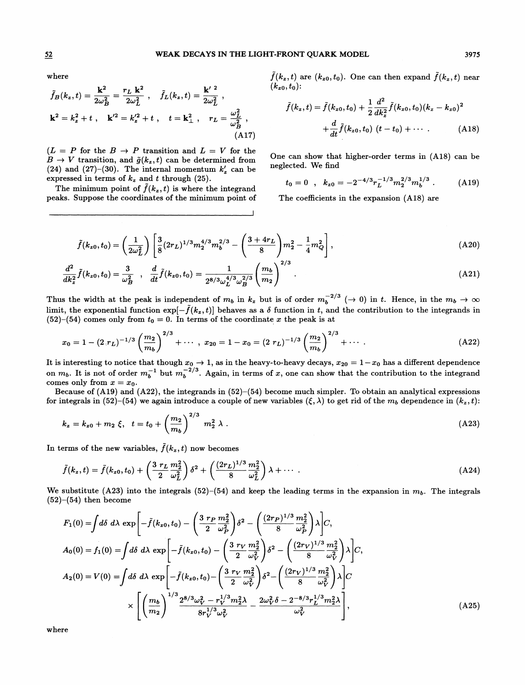where

where  
\n
$$
\tilde{f}_B(k_z, t) = \frac{\mathbf{k}^2}{2\omega_B^2} = \frac{r_L \mathbf{k}^2}{2\omega_L^2}, \quad \tilde{f}_L(k_z, t) = \frac{\mathbf{k}'^2}{2\omega_L^2},
$$
\n
$$
\mathbf{k}^2 = k_z^2 + t, \quad \mathbf{k}'^2 = k_z'^2 + t, \quad t = \mathbf{k}_\perp^2, \quad r_L = \frac{\omega_L^2}{\omega_B^2},
$$
\n(A17)

 $(L = P \text{ for the } B \rightarrow P \text{ transition and } L = V \text{ for the }$  $B \to V$  transition, and  $\tilde{g}(k_z,t)$  can be determined from (24) and (27)–(30). The internal momentum  $k'_z$  can be expressed in terms of  $k_z$  and t through (25).

The minimum point of  $\tilde{f}(k_z,t)$  is where the integrand peaks. Suppose the coordinates of the minimum point of  $\tilde{f}(k_z, t)$  are  $(k_{z0}, t_0)$ . One can then expand  $\tilde{f}(k_z, t)$  near  $(k_{z{\scriptsize 0}},t_{0})$ :

$$
\tilde{f}(k_z, t) = \tilde{f}(k_{z0}, t_0) + \frac{1}{2} \frac{d^2}{dk_z^2} \tilde{f}(k_{z0}, t_0) (k_z - k_{z0})^2
$$

$$
+ \frac{d}{dt} \tilde{f}(k_{z0}, t_0) (t - t_0) + \cdots \qquad (A18)
$$

One can show that higher-order terms in (A18) can be neglected. We find

$$
t_0 = 0 \quad , \quad k_{z0} = -2^{-4/3} r_L^{-1/3} m_2^{2/3} m_b^{1/3} \quad . \tag{A19}
$$

The coefficients in the expansion (A18) are

$$
\tilde{f}(k_{z0}, t_0) = \left(\frac{1}{2\omega_L^2}\right) \left[\frac{3}{8}(2r_L)^{1/3} m_2^{4/3} m_b^{2/3} - \left(\frac{3+4r_L}{8}\right) m_2^2 - \frac{1}{4} m_Q^2\right],\tag{A20}
$$

$$
\frac{d^2}{dk_z^2}\tilde{f}(k_{z0},t_0) = \frac{3}{\omega_B^2} , \quad \frac{d}{dt}\tilde{f}(k_{z0},t_0) = \frac{1}{2^{8/3}\omega_L^{4/3}\omega_B^{2/3}} \left(\frac{m_b}{m_2}\right)^{2/3} . \tag{A21}
$$

Thus the width at the peak is independent of  $m_b$  in  $k_z$  but is of order  $m_b^{-2/3}$  ( $\rightarrow$  0) in t. Hence, in the  $m_b \rightarrow \infty$ limit, the exponential function  $\exp[-\tilde{f}(k_z,t)]$  behaves as a  $\delta$  function in t, and the contribution to the integrands in  $(52)$ – $(54)$  comes only from  $t_0 = 0$ . In terms of the coordinate x the peak is at

$$
x_0 = 1 - (2 \cdot r_L)^{-1/3} \left(\frac{m_2}{m_b}\right)^{2/3} + \cdots , x_{20} = 1 - x_0 = (2 \cdot r_L)^{-1/3} \left(\frac{m_2}{m_b}\right)^{2/3} + \cdots . \tag{A22}
$$

It is interesting to notice that though  $x_0\to 1,$  as in the heavy-to-heavy decays,  $x_{20}=1-x_0$  has a different dependence on  $m_b$ . It is not of order  $m_b^{-1}$  but  $m_b^{-2/3}$ . Again, in terms of x, one can show that the contribution to the integrand comes only from  $x = x_0$ .

Because of (A19) and (A22), the integrands in  $(52)$ – $(54)$  become much simpler. To obtain an analytical expressions for integrals in (52)–(54) we again introduce a couple of new variables  $(\xi, \lambda)$  to get rid of the  $m_b$  dependence in  $(k_z, t)$ :

$$
k_z = k_{z0} + m_2 \xi, \quad t = t_0 + \left(\frac{m_2}{m_b}\right)^{2/3} m_2^2 \lambda \tag{A23}
$$

In terms of the new variables,  $\tilde{f}(k_z,t)$  now becomes

$$
\tilde{f}(k_z,t) = \tilde{f}(k_{z0},t_0) + \left(\frac{3 \ r_L}{2} \frac{m_2^2}{\omega_L^2}\right) \delta^2 + \left(\frac{(2r_L)^{1/3}}{8} \frac{m_2^2}{\omega_L^2}\right) \lambda + \cdots
$$
 (A24)

We substitute (A23) into the integrals (52)–(54) and keep the leading terms in the expansion in  $m_b$ . The integrals  $(52)–(54)$  then become

$$
F_1(0) = \int d\delta \ d\lambda \ \exp\left[ -\tilde{f}(k_{z0}, t_0) - \left(\frac{3 \ r_P}{2} \frac{m_2^2}{\omega_P^2}\right) \delta^2 - \left(\frac{(2r_P)^{1/3}}{8} \frac{m_2^2}{\omega_P^2}\right) \lambda \right] C,
$$
  
\n
$$
A_0(0) = f_1(0) = \int d\delta \ d\lambda \ \exp\left[ -\tilde{f}(k_{z0}, t_0) - \left(\frac{3 \ r_V}{2} \frac{m_2^2}{\omega_V^2}\right) \delta^2 - \left(\frac{(2r_V)^{1/3}}{8} \frac{m_2^2}{\omega_V^2}\right) \lambda \right] C,
$$
  
\n
$$
A_2(0) = V(0) = \int d\delta \ d\lambda \ \exp\left[ -\tilde{f}(k_{z0}, t_0) - \left(\frac{3 \ r_V}{2} \frac{m_2^2}{\omega_V^2}\right) \delta^2 - \left(\frac{(2r_V)^{1/3}}{8} \frac{m_2^2}{\omega_V^2}\right) \lambda \right] C
$$
  
\n
$$
\times \left[ \left(\frac{m_b}{m_2}\right)^{1/3} \frac{2^{8/3} \omega_V^2 - r_V^{1/3} m_2^2 \lambda}{8 r_V^{1/3} \omega_V^2} - \frac{2 \omega_V^2 \delta - 2^{-8/3} r_L^{1/3} m_2^2 \lambda}{\omega_V^2} \right],
$$
\n(A25)

where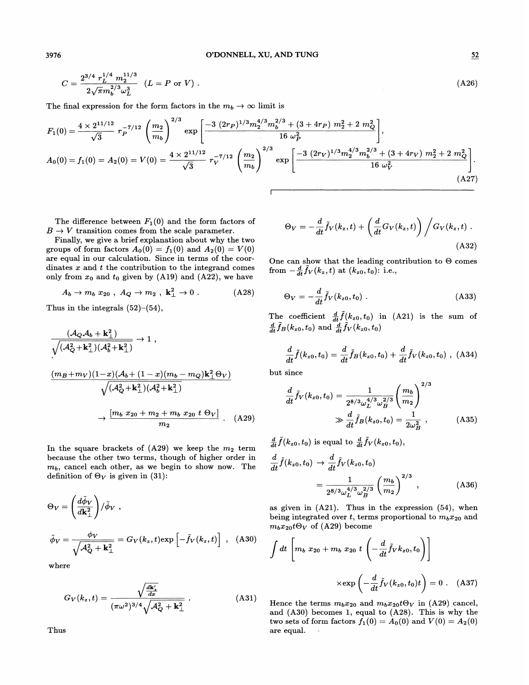3976 O'DONNELL, XU, AND TUNG 52

$$
C = \frac{2^{3/4} r_L^{1/4} m_2^{11/3}}{2\sqrt{\pi} m_b^{2/3} \omega_L^3} \quad (L = P \text{ or } V) \tag{A26}
$$

The final expression for the form factors in the  $m_b \to \infty$  limit is

$$
F_1(0) = \frac{4 \times 2^{11/12}}{\sqrt{3}} r_P^{-7/12} \left(\frac{m_2}{m_b}\right)^{2/3} \exp\left[\frac{-3 (2r_P)^{1/3} m_2^{4/3} m_b^{2/3} + (3 + 4r_P) m_2^2 + 2 m_Q^2}{16 \omega_P^2}\right],
$$
  
\n
$$
A_0(0) = f_1(0) = A_2(0) = V(0) = \frac{4 \times 2^{11/12}}{\sqrt{3}} r_V^{-7/12} \left(\frac{m_2}{m_b}\right)^{2/3} \exp\left[\frac{-3 (2r_V)^{1/3} m_2^{4/3} m_b^{2/3} + (3 + 4r_V) m_2^2 + 2 m_Q^2}{16 \omega_V^2}\right].
$$
\n(A27)

The difference between  $F_1(0)$  and the form factors of  $B \to V$  transition comes from the scale parameter.

Finally, we give a brief explanation about why the two groups of form factors  $A_0(0) = f_1(0)$  and  $A_2(0) = V(0)$ are equal in our calculation. Since in terms of the coordinates  $x$  and  $t$  the contribution to the integrand comes only from  $x_0$  and  $t_0$  given by (A19) and (A22), we have

$$
A_b \to m_b x_{20} , A_Q \to m_2 , \mathbf{k}_\perp^2 \to 0 . \tag{A28}
$$

Thus in the integrals  $(52)$ – $(54)$ ,

$$
\frac{(\mathcal{A}_{Q}\mathcal{A}_{b} + \mathbf{k}_{\perp}^{2})}{\sqrt{(\mathcal{A}_{Q}^{2} + \mathbf{k}_{\perp}^{2})(\mathcal{A}_{b}^{2} + \mathbf{k}_{\perp}^{2})}} \rightarrow 1 ,
$$
\n
$$
\frac{(m_{B} + m_{V})(1 - x)(\mathcal{A}_{b} + (1 - x)(m_{b} - m_{Q})\mathbf{k}_{\perp}^{2} \Theta_{V})}{\sqrt{(\mathcal{A}_{Q}^{2} + \mathbf{k}_{\perp}^{2})(\mathcal{A}_{b}^{2} + \mathbf{k}_{\perp}^{2})}}
$$
\n
$$
\rightarrow \frac{[m_{b} x_{20} + m_{2} + m_{b} x_{20} t \Theta_{V}]}{m_{2}} .
$$
\n(A29)

In the square brackets of  $(A29)$  we keep the  $m_2$  term because the other two terms, though of higher order in  $m_b$ , cancel each other, as we begin to show now. The definition of  $\Theta_V$  is given in (31):

$$
\Theta_V = \left(\frac{d\tilde{\phi}_V}{d\mathbf{k}_{\perp}^2}\right) / \tilde{\phi}_V ,
$$
\n
$$
\tilde{\phi}_V = \frac{\phi_V}{\sqrt{A_Q^2 + \mathbf{k}_{\perp}^2}} = G_V(k_z, t) \exp\left[-\tilde{f}_V(k_z, t)\right] ,
$$
\n(A30)\n
$$
\int dt \left[m_b x_{20} + m_b x_{20} t \Theta_V \frac{d\tilde{\phi}_V}{dt}\right] \left(\frac{d\tilde{\phi}_V}{dt} - \frac{d\tilde{\phi}_V}{dt}\right)
$$
\n(2.7°  $\omega_L$   $\omega_B$  (3.29) becomes

where

Thus

$$
G_V(k_z, t) = \frac{\sqrt{\frac{d\mathbf{k}'_z}{dz}}}{(\pi \omega^2)^{3/4} \sqrt{\mathcal{A}_Q^2 + \mathbf{k}_\perp^2}} \ . \tag{A31}
$$

$$
\Theta_V = -\frac{d}{dt}\tilde{f}_V(k_z,t) + \left(\frac{d}{dt}G_V(k_z,t)\right) / G_V(k_z,t) .
$$
\n(A32)

One can show that the leading contribution to  $\Theta$  comes from  $-\frac{d}{dt}\tilde{f}_V(k_z,t)$  at  $(k_{z0}, t_0)$ : i.e.,

$$
\Theta_V = -\frac{d}{dt}\tilde{f}_V(k_{z0}, t_0) \tag{A33}
$$

The coefficient  $\frac{d}{dt}\tilde{f}(k_{z0},t_0)$  in (A21) is the sum of  $\frac{d}{dt}\tilde{f}_B(k_{z0}, t_0)$  and  $\frac{d}{dt}\tilde{f}_V(k_{z0}, t_0)$ 

$$
\frac{d}{dt}\tilde{f}(k_{z0},t_0)=\frac{d}{dt}\tilde{f}_B(k_{z0},t_0)+\frac{d}{dt}\tilde{f}_V(k_{z0},t_0), (A34)
$$

but since

$$
\frac{d}{dt}\tilde{f}_V(k_{z0}, t_0) = \frac{1}{2^{8/3}\omega_L^{4/3}\omega_B^{2/3}} \left(\frac{m_b}{m_2}\right)^{2/3} \gg \frac{d}{dt}\tilde{f}_B(k_{z0}, t_0) = \frac{1}{2\omega_B^2},
$$
\n(A35)

 $\frac{d}{dt}\tilde{f}(k_{z0}, t_0)$  is equal to  $\frac{d}{dt}\tilde{f}_V(k_{z0}, t_0),$ 

$$
\frac{d}{dt}\tilde{f}(k_{z0},t_0) \to \frac{d}{dt}\tilde{f}_V(k_{z0},t_0) \n= \frac{1}{2^{8/3}\omega_L^{4/3}\omega_B^{2/3}} \left(\frac{m_b}{m_2}\right)^{2/3},
$$
\n(A36)

as given in  $(A21)$ . Thus in the expression  $(54)$ , when being integrated over t, terms proportional to  $m_bx_{20}$  and  $m_b x_{20} t \Theta_V$  of (A29) become

$$
\int dt \left[ m_b x_{20} + m_b x_{20} t \left( -\frac{d}{dt} \tilde{f}_V k_{z0}, t_0 \right) \right]
$$

$$
\times \exp\left( -\frac{d}{dt} \tilde{f}_V(k_{z0}, t_0) t \right) = 0 \quad \text{(A37)}
$$

Hence the terms  $m_b x_{20}$  and  $m_b x_{20} t \Theta_V$  in (A29) cancel, and (A30) becomes 1, equal to (A28). This is why the two sets of form factors  $f_1(0) = A_0(0)$  and  $V(0) = A_2(0)$ are equal.